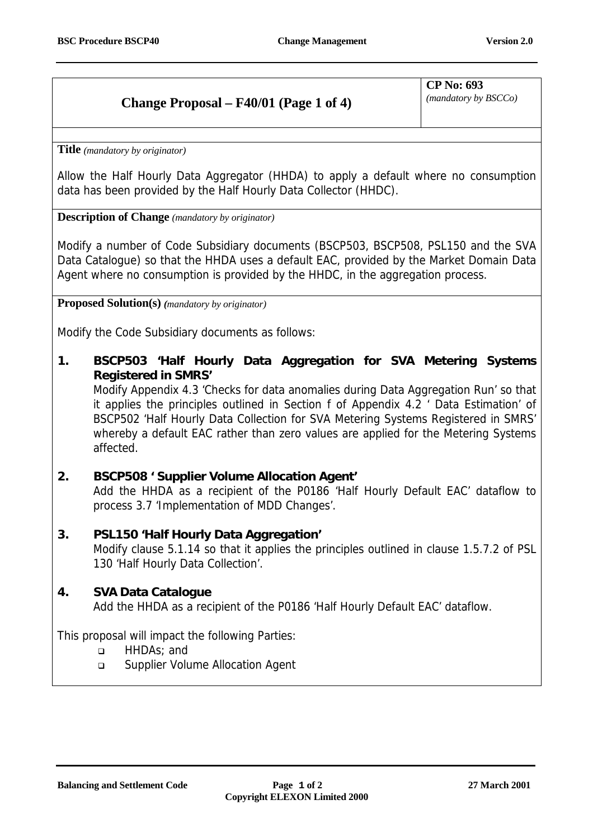# **Change Proposal – F40/01 (Page 1 of 4)**

**CP No: 693** *(mandatory by BSCCo)*

**Title** *(mandatory by originator)*

Allow the Half Hourly Data Aggregator (HHDA) to apply a default where no consumption data has been provided by the Half Hourly Data Collector (HHDC).

**Description of Change** *(mandatory by originator)*

Modify a number of Code Subsidiary documents (BSCP503, BSCP508, PSL150 and the SVA Data Catalogue) so that the HHDA uses a default EAC, provided by the Market Domain Data Agent where no consumption is provided by the HHDC, in the aggregation process.

**Proposed Solution(s)** *(mandatory by originator)*

Modify the Code Subsidiary documents as follows:

**1. BSCP503 'Half Hourly Data Aggregation for SVA Metering Systems Registered in SMRS'**

Modify Appendix 4.3 'Checks for data anomalies during Data Aggregation Run' so that it applies the principles outlined in Section f of Appendix 4.2 ' Data Estimation' of BSCP502 'Half Hourly Data Collection for SVA Metering Systems Registered in SMRS' whereby a default EAC rather than zero values are applied for the Metering Systems affected.

## **2. BSCP508 ' Supplier Volume Allocation Agent'**

Add the HHDA as a recipient of the P0186 'Half Hourly Default EAC' dataflow to process 3.7 'Implementation of MDD Changes'.

**3. PSL150 'Half Hourly Data Aggregation'** Modify clause 5.1.14 so that it applies the principles outlined in clause 1.5.7.2 of PSL 130 'Half Hourly Data Collection'.

## **4. SVA Data Catalogue**

Add the HHDA as a recipient of the P0186 'Half Hourly Default EAC' dataflow.

This proposal will impact the following Parties:

- ! HHDAs; and
- □ Supplier Volume Allocation Agent